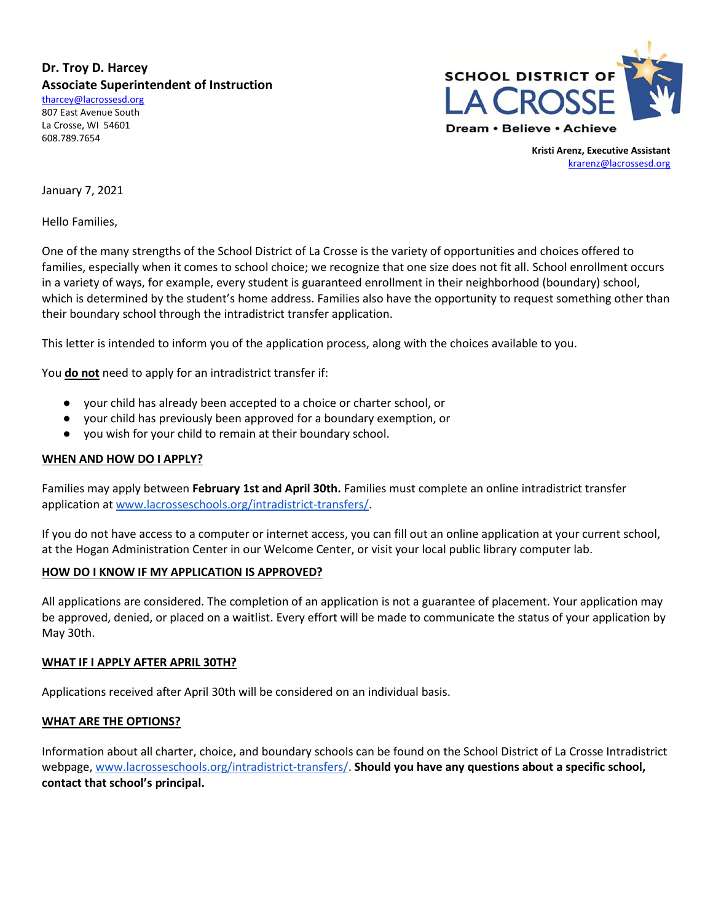**Dr. Troy D. Harcey Associate Superintendent of Instruction**

[tharcey@lacrossesd.org](mailto:tharcey@lacrossesd.org) 807 East Avenue South La Crosse, WI 54601 608.789.7654



**Kristi Arenz, Executive Assistant** [krarenz@lacrossesd.org](mailto:krarenz@lacrossesd.org)

January 7, 2021

Hello Families,

One of the many strengths of the School District of La Crosse is the variety of opportunities and choices offered to families, especially when it comes to school choice; we recognize that one size does not fit all. School enrollment occurs in a variety of ways, for example, every student is guaranteed enrollment in their neighborhood (boundary) school, which is determined by the student's home address. Families also have the opportunity to request something other than their boundary school through the intradistrict transfer application.

This letter is intended to inform you of the application process, along with the choices available to you.

You **do not** need to apply for an intradistrict transfer if:

- your child has already been accepted to a choice or charter school, or
- your child has previously been approved for a boundary exemption, or
- you wish for your child to remain at their boundary school.

## **WHEN AND HOW DO I APPLY?**

Families may apply between **February 1st and April 30th.** Families must complete an online intradistrict transfer application a[t www.lacrosseschools.org/intradistrict-transfers/.](http://www.lacrosseschools.org/intradistrict-transfers/)

If you do not have access to a computer or internet access, you can fill out an online application at your current school, at the Hogan Administration Center in our Welcome Center, or visit your local public library computer lab.

# **HOW DO I KNOW IF MY APPLICATION IS APPROVED?**

All applications are considered. The completion of an application is not a guarantee of placement. Your application may be approved, denied, or placed on a waitlist. Every effort will be made to communicate the status of your application by May 30th.

### **WHAT IF I APPLY AFTER APRIL 30TH?**

Applications received after April 30th will be considered on an individual basis.

### **WHAT ARE THE OPTIONS?**

Information about all charter, choice, and boundary schools can be found on the School District of La Crosse Intradistrict webpage, [www.lacrosseschools.org/intradistrict-transfers/.](http://www.lacrosseschools.org/intradistrict-transfers/) **Should you have any questions about a specific school, contact that school's principal.**